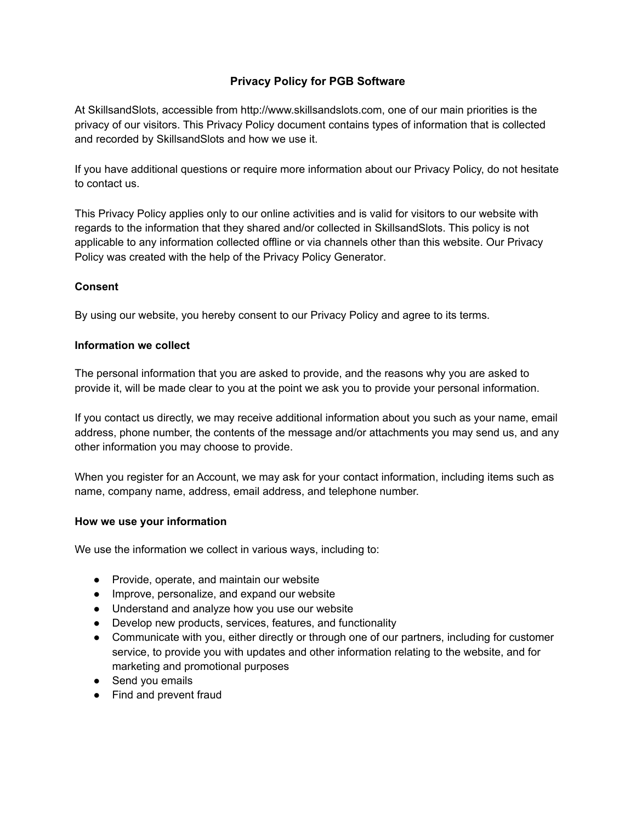# **Privacy Policy for PGB Software**

At SkillsandSlots, accessible from http://www.skillsandslots.com, one of our main priorities is the privacy of our visitors. This Privacy Policy document contains types of information that is collected and recorded by SkillsandSlots and how we use it.

If you have additional questions or require more information about our Privacy Policy, do not hesitate to contact us.

This Privacy Policy applies only to our online activities and is valid for visitors to our website with regards to the information that they shared and/or collected in SkillsandSlots. This policy is not applicable to any information collected offline or via channels other than this website. Our Privacy Policy was created with the help of the [Privacy Policy](https://www.privacypolicygenerator.info/) Generator.

### **Consent**

By using our website, you hereby consent to our Privacy Policy and agree to its terms.

#### **Information we collect**

The personal information that you are asked to provide, and the reasons why you are asked to provide it, will be made clear to you at the point we ask you to provide your personal information.

If you contact us directly, we may receive additional information about you such as your name, email address, phone number, the contents of the message and/or attachments you may send us, and any other information you may choose to provide.

When you register for an Account, we may ask for your contact information, including items such as name, company name, address, email address, and telephone number.

#### **How we use your information**

We use the information we collect in various ways, including to:

- Provide, operate, and maintain our website
- Improve, personalize, and expand our website
- Understand and analyze how you use our website
- Develop new products, services, features, and functionality
- Communicate with you, either directly or through one of our partners, including for customer service, to provide you with updates and other information relating to the website, and for marketing and promotional purposes
- Send you emails
- Find and prevent fraud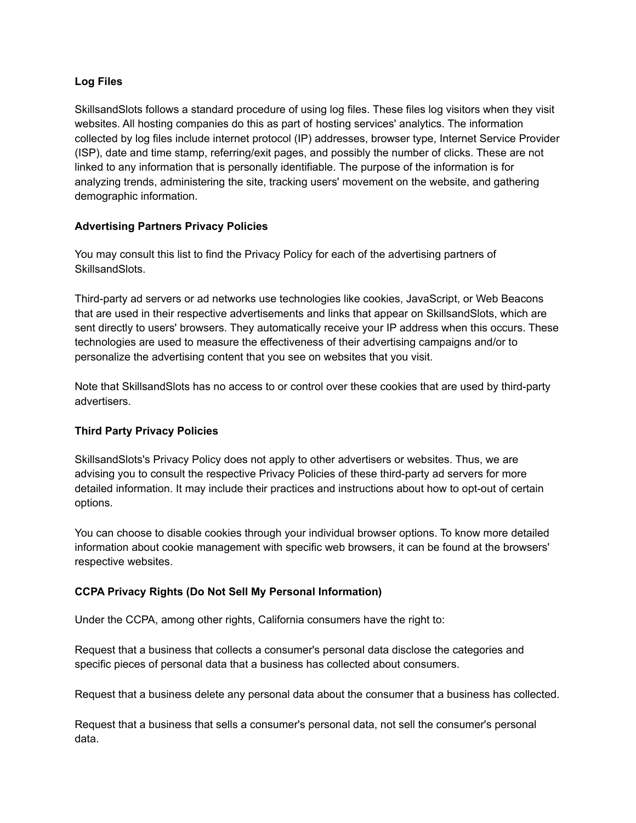### **Log Files**

SkillsandSlots follows a standard procedure of using log files. These files log visitors when they visit websites. All hosting companies do this as part of hosting services' analytics. The information collected by log files include internet protocol (IP) addresses, browser type, Internet Service Provider (ISP), date and time stamp, referring/exit pages, and possibly the number of clicks. These are not linked to any information that is personally identifiable. The purpose of the information is for analyzing trends, administering the site, tracking users' movement on the website, and gathering demographic information.

# **Advertising Partners Privacy Policies**

You may consult this list to find the Privacy Policy for each of the advertising partners of SkillsandSlots.

Third-party ad servers or ad networks use technologies like cookies, JavaScript, or Web Beacons that are used in their respective advertisements and links that appear on SkillsandSlots, which are sent directly to users' browsers. They automatically receive your IP address when this occurs. These technologies are used to measure the effectiveness of their advertising campaigns and/or to personalize the advertising content that you see on websites that you visit.

Note that SkillsandSlots has no access to or control over these cookies that are used by third-party advertisers.

# **Third Party Privacy Policies**

SkillsandSlots's Privacy Policy does not apply to other advertisers or websites. Thus, we are advising you to consult the respective Privacy Policies of these third-party ad servers for more detailed information. It may include their practices and instructions about how to opt-out of certain options.

You can choose to disable cookies through your individual browser options. To know more detailed information about cookie management with specific web browsers, it can be found at the browsers' respective websites.

# **CCPA Privacy Rights (Do Not Sell My Personal Information)**

Under the CCPA, among other rights, California consumers have the right to:

Request that a business that collects a consumer's personal data disclose the categories and specific pieces of personal data that a business has collected about consumers.

Request that a business delete any personal data about the consumer that a business has collected.

Request that a business that sells a consumer's personal data, not sell the consumer's personal data.